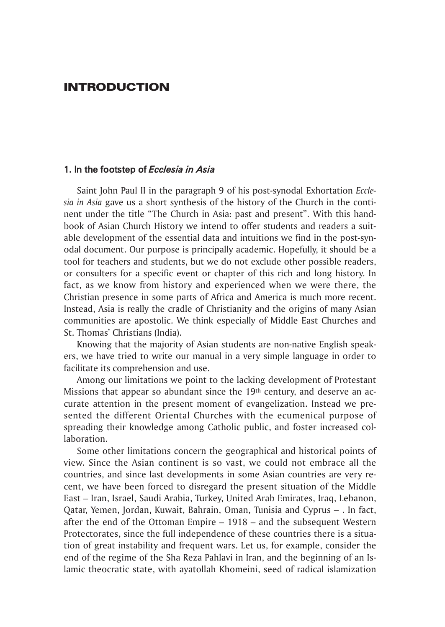## **INTRODUCTION**

#### 1. In the footstep of *Ecclesia in Asia*

Saint John Paul ii in the paragraph 9 of his post-synodal Exhortation *Ecclesia in Asia* gave us a short synthesis of the history of the Church in the continent under the title "The Church in Asia: past and present". With this handbook of Asian Church History we intend to offer students and readers a suitable development of the essential data and intuitions we find in the post-synodal document. our purpose is principally academic. Hopefully, it should be a tool for teachers and students, but we do not exclude other possible readers, or consulters for a specific event or chapter of this rich and long history. in fact, as we know from history and experienced when we were there, the Christian presence in some parts of Africa and America is much more recent. instead, Asia is really the cradle of Christianity and the origins of many Asian communities are apostolic. We think especially of Middle East Churches and St. Thomas' Christians (India).

Knowing that the majority of Asian students are non-native English speakers, we have tried to write our manual in a very simple language in order to facilitate its comprehension and use.

Among our limitations we point to the lacking development of Protestant Missions that appear so abundant since the 19<sup>th</sup> century, and deserve an accurate attention in the present moment of evangelization. instead we presented the different Oriental Churches with the ecumenical purpose of spreading their knowledge among Catholic public, and foster increased collaboration.

Some other limitations concern the geographical and historical points of view. Since the Asian continent is so vast, we could not embrace all the countries, and since last developments in some Asian countries are very recent, we have been forced to disregard the present situation of the Middle East – iran, israel, Saudi Arabia, turkey, united Arab Emirates, iraq, Lebanon, qatar, Yemen, Jordan, Kuwait, Bahrain, oman, tunisia and Cyprus – . in fact, after the end of the ottoman Empire – 1918 – and the subsequent Western Protectorates, since the full independence of these countries there is a situation of great instability and frequent wars. Let us, for example, consider the end of the regime of the Sha Reza Pahlavi in iran, and the beginning of an islamic theocratic state, with ayatollah Khomeini, seed of radical islamization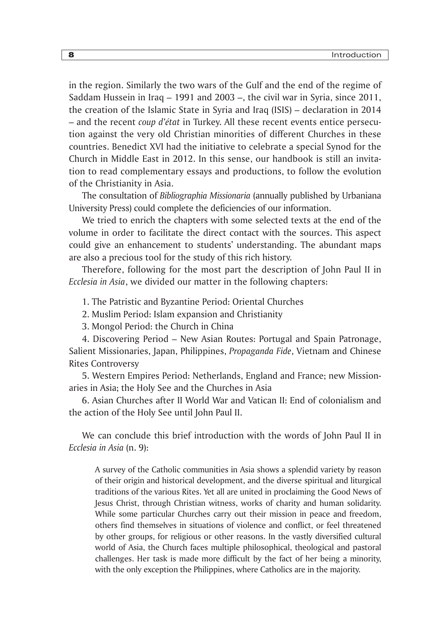in the region. Similarly the two wars of the Gulf and the end of the regime of Saddam Hussein in iraq – 1991 and 2003 –, the civil war in Syria, since 2011, the creation of the islamic State in Syria and iraq (iSiS) – declaration in 2014 – and the recent *coup d'état* in turkey. All these recent events entice persecution against the very old Christian minorities of different Churches in these countries. Benedict XVi had the initiative to celebrate a special Synod for the Church in Middle East in 2012. in this sense, our handbook is still an invitation to read complementary essays and productions, to follow the evolution of the Christianity in Asia.

the consultation of *Bibliographia Missionaria* (annually published by urbaniana university Press) could complete the deficiencies of our information.

We tried to enrich the chapters with some selected texts at the end of the volume in order to facilitate the direct contact with the sources. this aspect could give an enhancement to students' understanding. The abundant maps are also a precious tool for the study of this rich history.

Therefore, following for the most part the description of John Paul II in *Ecclesia in Asia*, we divided our matter in the following chapters:

1. The Patristic and Byzantine Period: Oriental Churches

2. Muslim Period: islam expansion and Christianity

3. Mongol Period: the Church in China

4. Discovering Period – new Asian Routes: Portugal and Spain Patronage, Salient Missionaries, Japan, Philippines, *Propaganda Fide*, Vietnam and Chinese Rites Controversy

5. Western Empires Period: netherlands, England and france; new Missionaries in Asia; the Holy See and the Churches in Asia

6. Asian Churches after ii World War and Vatican ii: End of colonialism and the action of the Holy See until John Paul II.

We can conclude this brief introduction with the words of John Paul II in *Ecclesia in Asia* (n. 9):

A survey of the Catholic communities in Asia shows a splendid variety by reason of their origin and historical development, and the diverse spiritual and liturgical traditions of the various Rites. Yet all are united in proclaiming the Good news of Jesus Christ, through Christian witness, works of charity and human solidarity. While some particular Churches carry out their mission in peace and freedom, others find themselves in situations of violence and conflict, or feel threatened by other groups, for religious or other reasons. in the vastly diversified cultural world of Asia, the Church faces multiple philosophical, theological and pastoral challenges. Her task is made more difficult by the fact of her being a minority, with the only exception the Philippines, where Catholics are in the majority.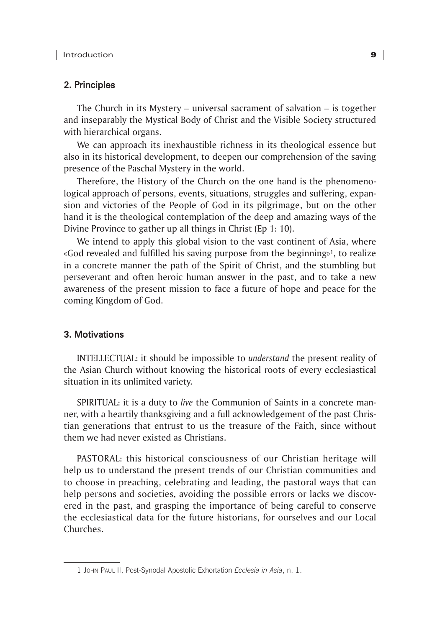#### 2. Principles

The Church in its Mystery – universal sacrament of salvation  $-$  is together and inseparably the Mystical Body of Christ and the Visible Society structured with hierarchical organs.

We can approach its inexhaustible richness in its theological essence but also in its historical development, to deepen our comprehension of the saving presence of the Paschal Mystery in the world.

Therefore, the History of the Church on the one hand is the phenomenological approach of persons, events, situations, struggles and suffering, expansion and victories of the People of God in its pilgrimage, but on the other hand it is the theological contemplation of the deep and amazing ways of the Divine Province to gather up all things in Christ (Ep 1: 10).

We intend to apply this global vision to the vast continent of Asia, where «God revealed and fulfilled his saving purpose from the beginning»1, to realize in a concrete manner the path of the Spirit of Christ, and the stumbling but perseverant and often heroic human answer in the past, and to take a new awareness of the present mission to face a future of hope and peace for the coming Kingdom of God.

#### 3. Motivations

INTELLECTUAL: it should be impossible to *understand* the present reality of the Asian Church without knowing the historical roots of every ecclesiastical situation in its unlimited variety.

SPiRituAL: it is a duty to *live* the Communion of Saints in a concrete manner, with a heartily thanksgiving and a full acknowledgement of the past Christian generations that entrust to us the treasure of the faith, since without them we had never existed as Christians.

PAStoRAL: this historical consciousness of our Christian heritage will help us to understand the present trends of our Christian communities and to choose in preaching, celebrating and leading, the pastoral ways that can help persons and societies, avoiding the possible errors or lacks we discovered in the past, and grasping the importance of being careful to conserve the ecclesiastical data for the future historians, for ourselves and our Local Churches.

<sup>1</sup> John Paul II, Post-Synodal apostolic Exhortation *Ecclesia in Asia*, n. 1.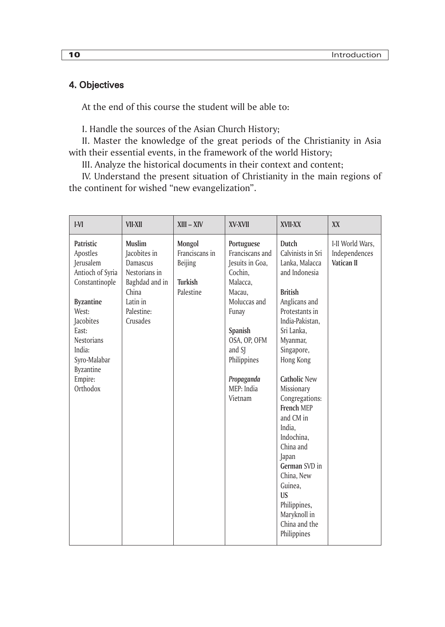# 4. Objectives

At the end of this course the student will be able to:

i. Handle the sources of the Asian Church History;

II. Master the knowledge of the great periods of the Christianity in Asia with their essential events, in the framework of the world History;

III. Analyze the historical documents in their context and content;

IV. Understand the present situation of Christianity in the main regions of the continent for wished "new evangelization".

| IVI                                                                                                                                                                                                            | <b>VII-XII</b>                                                                                                       | $XIII - XIV$                                                       | XV-XVII                                                                                                                                                                                                      | XVII-XX                                                                                                                                                                                                                                                                                                                                                                                                                                                  | XX                                              |
|----------------------------------------------------------------------------------------------------------------------------------------------------------------------------------------------------------------|----------------------------------------------------------------------------------------------------------------------|--------------------------------------------------------------------|--------------------------------------------------------------------------------------------------------------------------------------------------------------------------------------------------------------|----------------------------------------------------------------------------------------------------------------------------------------------------------------------------------------------------------------------------------------------------------------------------------------------------------------------------------------------------------------------------------------------------------------------------------------------------------|-------------------------------------------------|
| Patristic<br>Apostles<br>Jerusalem<br>Antioch of Syria<br>Constantinople<br><b>Byzantine</b><br>West:<br>Jacobites<br>East:<br><b>Nestorians</b><br>India:<br>Syro-Malabar<br>Byzantine<br>Empire:<br>Orthodox | Muslim<br>Jacobites in<br>Damascus<br>Nestorians in<br>Baghdad and in<br>China<br>Latin in<br>Palestine:<br>Crusades | Mongol<br>Franciscans in<br><b>Beijing</b><br>Turkish<br>Palestine | Portuguese<br>Franciscans and<br>Jesuits in Goa,<br>Cochin,<br>Malacca.<br>Macau.<br>Moluccas and<br>Funay<br><b>Spanish</b><br>OSA, OP, OFM<br>and SJ<br>Philippines<br>Propaganda<br>MEP: India<br>Vietnam | Dutch<br>Calvinists in Sri<br>Lanka, Malacca<br>and Indonesia<br><b>British</b><br>Anglicans and<br>Protestants in<br>India-Pakistan,<br>Sri Lanka,<br>Myanmar,<br>Singapore,<br>Hong Kong<br><b>Catholic New</b><br>Missionary<br>Congregations:<br><b>French MEP</b><br>and CM in<br>India.<br>Indochina.<br>China and<br>Japan<br>German SVD in<br>China, New<br>Guinea.<br><b>US</b><br>Philippines,<br>Maryknoll in<br>China and the<br>Philippines | I-II World Wars,<br>Independences<br>Vatican II |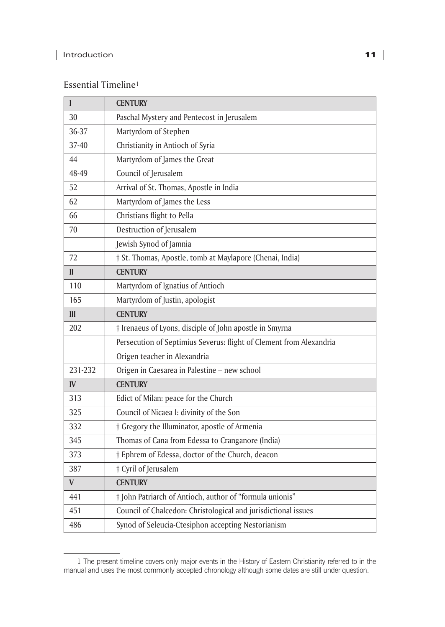### Essential Timeline<sup>1</sup>

| I            | <b>CENTURY</b>                                                      |
|--------------|---------------------------------------------------------------------|
| 30           | Paschal Mystery and Pentecost in Jerusalem                          |
| 36-37        | Martyrdom of Stephen                                                |
| 37-40        | Christianity in Antioch of Syria                                    |
| 44           | Martyrdom of James the Great                                        |
| 48-49        | Council of Jerusalem                                                |
| 52           | Arrival of St. Thomas, Apostle in India                             |
| 62           | Martyrdom of James the Less                                         |
| 66           | Christians flight to Pella                                          |
| 70           | Destruction of Jerusalem                                            |
|              | Jewish Synod of Jamnia                                              |
| 72           | † St. Thomas, Apostle, tomb at Maylapore (Chenai, India)            |
| $\mathbf{I}$ | <b>CENTURY</b>                                                      |
| 110          | Martyrdom of Ignatius of Antioch                                    |
| 165          | Martyrdom of Justin, apologist                                      |
| III          | <b>CENTURY</b>                                                      |
| 202          | <i>† Irenaeus of Lyons, disciple of John apostle in Smyrna</i>      |
|              | Persecution of Septimius Severus: flight of Clement from Alexandria |
|              | Origen teacher in Alexandria                                        |
| 231-232      | Origen in Caesarea in Palestine - new school                        |
| IV           | <b>CENTURY</b>                                                      |
| 313          | Edict of Milan: peace for the Church                                |
| 325          | Council of Nicaea I: divinity of the Son                            |
| 332          | † Gregory the Illuminator, apostle of Armenia                       |
| 345          | Thomas of Cana from Edessa to Cranganore (India)                    |
| 373          | <i>†</i> Ephrem of Edessa, doctor of the Church, deacon             |
| 387          | † Cyril of Jerusalem                                                |
| V            | <b>CENTURY</b>                                                      |
| 441          | † John Patriarch of Antioch, author of "formula unionis"            |
| 451          | Council of Chalcedon: Christological and jurisdictional issues      |
| 486          | Synod of Seleucia-Ctesiphon accepting Nestorianism                  |

<sup>1</sup> The present timeline covers only major events in the history of Eastern Christianity referred to in the manual and uses the most commonly accepted chronology although some dates are still under question.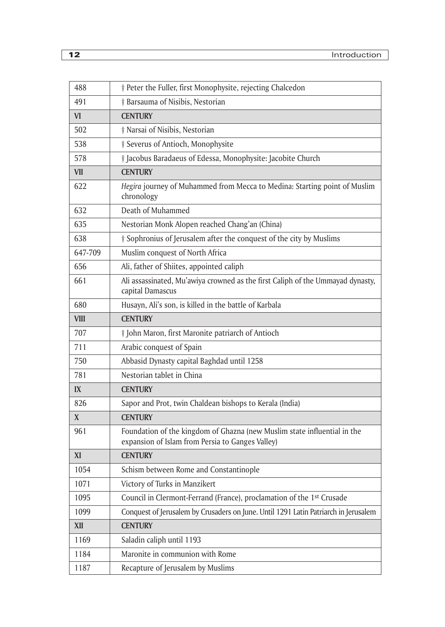| 488         | † Peter the Fuller, first Monophysite, rejecting Chalcedon                                                                   |
|-------------|------------------------------------------------------------------------------------------------------------------------------|
| 491         | <i>† Barsauma of Nisibis</i> , Nestorian                                                                                     |
| VI.         | <b>CENTURY</b>                                                                                                               |
| 502         | † Narsai of Nisibis, Nestorian                                                                                               |
| 538         | <sup>†</sup> Severus of Antioch, Monophysite                                                                                 |
| 578         | <i>† Jacobus Baradaeus of Edessa, Monophysite: Jacobite Church</i>                                                           |
| VII         | <b>CENTURY</b>                                                                                                               |
| 622         | Hegira journey of Muhammed from Mecca to Medina: Starting point of Muslim<br>chronology                                      |
| 632         | Death of Muhammed                                                                                                            |
| 635         | Nestorian Monk Alopen reached Chang'an (China)                                                                               |
| 638         | † Sophronius of Jerusalem after the conquest of the city by Muslims                                                          |
| 647-709     | Muslim conquest of North Africa                                                                                              |
| 656         | Ali, father of Shiites, appointed caliph                                                                                     |
| 661         | Ali assassinated, Mu'awiya crowned as the first Caliph of the Ummayad dynasty,<br>capital Damascus                           |
| 680         | Husayn, Ali's son, is killed in the battle of Karbala                                                                        |
| <b>VIII</b> | <b>CENTURY</b>                                                                                                               |
| 707         | <i>† John Maron, first Maronite patriarch of Antioch</i>                                                                     |
| 711         | Arabic conquest of Spain                                                                                                     |
| 750         | Abbasid Dynasty capital Baghdad until 1258                                                                                   |
| 781         | Nestorian tablet in China                                                                                                    |
| IX          | <b>CENTURY</b>                                                                                                               |
| 826         | Sapor and Prot, twin Chaldean bishops to Kerala (India)                                                                      |
| X           | <b>CENTURY</b>                                                                                                               |
| 961         | Foundation of the kingdom of Ghazna (new Muslim state influential in the<br>expansion of Islam from Persia to Ganges Valley) |
| XI          | <b>CENTURY</b>                                                                                                               |
| 1054        | Schism between Rome and Constantinople                                                                                       |
| 1071        | Victory of Turks in Manzikert                                                                                                |
| 1095        | Council in Clermont-Ferrand (France), proclamation of the 1st Crusade                                                        |
| 1099        | Conquest of Jerusalem by Crusaders on June. Until 1291 Latin Patriarch in Jerusalem                                          |
| XII         | <b>CENTURY</b>                                                                                                               |
| 1169        | Saladin caliph until 1193                                                                                                    |
| 1184        | Maronite in communion with Rome                                                                                              |
| 1187        | Recapture of Jerusalem by Muslims                                                                                            |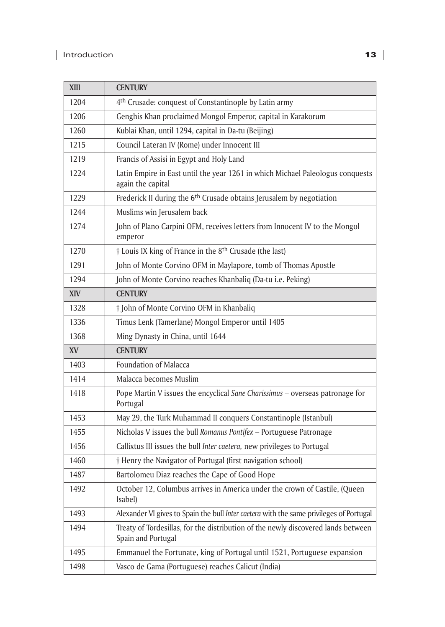| <b>XIII</b> | <b>CENTURY</b>                                                                                          |
|-------------|---------------------------------------------------------------------------------------------------------|
| 1204        | 4 <sup>th</sup> Crusade: conquest of Constantinople by Latin army                                       |
| 1206        | Genghis Khan proclaimed Mongol Emperor, capital in Karakorum                                            |
| 1260        | Kublai Khan, until 1294, capital in Da-tu (Beijing)                                                     |
| 1215        | Council Lateran IV (Rome) under Innocent III                                                            |
| 1219        | Francis of Assisi in Egypt and Holy Land                                                                |
| 1224        | Latin Empire in East until the year 1261 in which Michael Paleologus conquests<br>again the capital     |
| 1229        | Frederick II during the 6 <sup>th</sup> Crusade obtains Jerusalem by negotiation                        |
| 1244        | Muslims win Jerusalem back                                                                              |
| 1274        | John of Plano Carpini OFM, receives letters from Innocent IV to the Mongol<br>emperor                   |
| 1270        | <i>† Louis IX king of France in the 8<sup>th</sup> Crusade (the last)</i>                               |
| 1291        | John of Monte Corvino OFM in Maylapore, tomb of Thomas Apostle                                          |
| 1294        | John of Monte Corvino reaches Khanbaliq (Da-tu i.e. Peking)                                             |
| XIV         | <b>CENTURY</b>                                                                                          |
| 1328        | † John of Monte Corvino OFM in Khanbaliq                                                                |
| 1336        | Timus Lenk (Tamerlane) Mongol Emperor until 1405                                                        |
| 1368        | Ming Dynasty in China, until 1644                                                                       |
| <b>XV</b>   | <b>CENTURY</b>                                                                                          |
| 1403        | Foundation of Malacca                                                                                   |
| 1414        | Malacca becomes Muslim                                                                                  |
| 1418        | Pope Martin V issues the encyclical Sane Charissimus - overseas patronage for<br>Portugal               |
| 1453        | May 29, the Turk Muhammad II conquers Constantinople (Istanbul)                                         |
| 1455        | Nicholas V issues the bull Romanus Pontifex - Portuguese Patronage                                      |
| 1456        | Callixtus III issues the bull Inter caetera, new privileges to Portugal                                 |
| 1460        | † Henry the Navigator of Portugal (first navigation school)                                             |
| 1487        | Bartolomeu Diaz reaches the Cape of Good Hope                                                           |
| 1492        | October 12, Columbus arrives in America under the crown of Castile, (Queen<br>(Isabel                   |
| 1493        | Alexander VI gives to Spain the bull Inter caetera with the same privileges of Portugal                 |
| 1494        | Treaty of Tordesillas, for the distribution of the newly discovered lands between<br>Spain and Portugal |
| 1495        | Emmanuel the Fortunate, king of Portugal until 1521, Portuguese expansion                               |
| 1498        | Vasco de Gama (Portuguese) reaches Calicut (India)                                                      |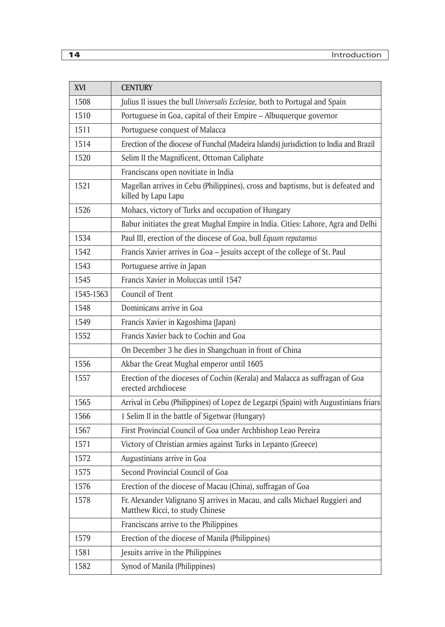| <b>XVI</b> | <b>CENTURY</b>                                                                                                 |
|------------|----------------------------------------------------------------------------------------------------------------|
| 1508       | Julius II issues the bull Universalis Ecclesiae, both to Portugal and Spain                                    |
| 1510       | Portuguese in Goa, capital of their Empire - Albuquerque governor                                              |
| 1511       | Portuguese conquest of Malacca                                                                                 |
| 1514       | Erection of the diocese of Funchal (Madeira Islands) jurisdiction to India and Brazil                          |
| 1520       | Selim II the Magnificent, Ottoman Caliphate                                                                    |
|            | Franciscans open novitiate in India                                                                            |
| 1521       | Magellan arrives in Cebu (Philippines), cross and baptisms, but is defeated and<br>killed by Lapu Lapu         |
| 1526       | Mohacs, victory of Turks and occupation of Hungary                                                             |
|            | Babur initiates the great Mughal Empire in India. Cities: Lahore, Agra and Delhi                               |
| 1534       | Paul III, erection of the diocese of Goa, bull Equum reputamus                                                 |
| 1542       | Francis Xavier arrives in Goa - Jesuits accept of the college of St. Paul                                      |
| 1543       | Portuguese arrive in Japan                                                                                     |
| 1545       | Francis Xavier in Moluccas until 1547                                                                          |
| 1545-1563  | Council of Trent                                                                                               |
| 1548       | Dominicans arrive in Goa                                                                                       |
| 1549       | Francis Xavier in Kagoshima (Japan)                                                                            |
| 1552       | Francis Xavier back to Cochin and Goa                                                                          |
|            | On December 3 he dies in Shangchuan in front of China                                                          |
| 1556       | Akbar the Great Mughal emperor until 1605                                                                      |
| 1557       | Erection of the dioceses of Cochin (Kerala) and Malacca as suffragan of Goa<br>erected archdiocese             |
| 1565       | Arrival in Cebu (Philippines) of Lopez de Legazpi (Spain) with Augustinians friars                             |
| 1566       | † Selim II in the battle of Sigetwar (Hungary)                                                                 |
| 1567       | First Provincial Council of Goa under Archbishop Leao Pereira                                                  |
| 1571       | Victory of Christian armies against Turks in Lepanto (Greece)                                                  |
| 1572       | Augustinians arrive in Goa                                                                                     |
| 1575       | Second Provincial Council of Goa                                                                               |
| 1576       | Erection of the diocese of Macau (China), suffragan of Goa                                                     |
| 1578       | Fr. Alexander Valignano SJ arrives in Macau, and calls Michael Ruggieri and<br>Matthew Ricci, to study Chinese |
|            | Franciscans arrive to the Philippines                                                                          |
| 1579       | Erection of the diocese of Manila (Philippines)                                                                |
| 1581       | Jesuits arrive in the Philippines                                                                              |
| 1582       | Synod of Manila (Philippines)                                                                                  |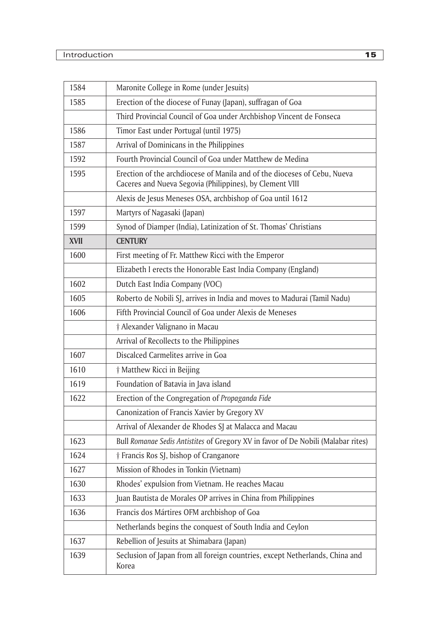| 1584        | Maronite College in Rome (under Jesuits)                                                                                             |
|-------------|--------------------------------------------------------------------------------------------------------------------------------------|
| 1585        | Erection of the diocese of Funay (Japan), suffragan of Goa                                                                           |
|             | Third Provincial Council of Goa under Archbishop Vincent de Fonseca                                                                  |
| 1586        | Timor East under Portugal (until 1975)                                                                                               |
| 1587        | Arrival of Dominicans in the Philippines                                                                                             |
| 1592        | Fourth Provincial Council of Goa under Matthew de Medina                                                                             |
| 1595        | Erection of the archdiocese of Manila and of the dioceses of Cebu, Nueva<br>Caceres and Nueva Segovia (Philippines), by Clement VIII |
|             | Alexis de Jesus Meneses OSA, archbishop of Goa until 1612                                                                            |
| 1597        | Martyrs of Nagasaki (Japan)                                                                                                          |
| 1599        | Synod of Diamper (India), Latinization of St. Thomas' Christians                                                                     |
| <b>XVII</b> | <b>CENTURY</b>                                                                                                                       |
| 1600        | First meeting of Fr. Matthew Ricci with the Emperor                                                                                  |
|             | Elizabeth I erects the Honorable East India Company (England)                                                                        |
| 1602        | Dutch East India Company (VOC)                                                                                                       |
| 1605        | Roberto de Nobili SJ, arrives in India and moves to Madurai (Tamil Nadu)                                                             |
| 1606        | Fifth Provincial Council of Goa under Alexis de Meneses                                                                              |
|             | † Alexander Valignano in Macau                                                                                                       |
|             | Arrival of Recollects to the Philippines                                                                                             |
| 1607        | Discalced Carmelites arrive in Goa                                                                                                   |
| 1610        | <i>†</i> Matthew Ricci in Beijing                                                                                                    |
| 1619        | Foundation of Batavia in Java island                                                                                                 |
| 1622        | Erection of the Congregation of Propaganda Fide                                                                                      |
|             | Canonization of Francis Xavier by Gregory XV                                                                                         |
|             | Arrival of Alexander de Rhodes SJ at Malacca and Macau                                                                               |
| 1623        | Bull Romanae Sedis Antistites of Gregory XV in favor of De Nobili (Malabar rites)                                                    |
| 1624        | † Francis Ros SJ, bishop of Cranganore                                                                                               |
| 1627        | Mission of Rhodes in Tonkin (Vietnam)                                                                                                |
| 1630        | Rhodes' expulsion from Vietnam. He reaches Macau                                                                                     |
| 1633        | Juan Bautista de Morales OP arrives in China from Philippines                                                                        |
| 1636        | Francis dos Mártires OFM archbishop of Goa                                                                                           |
|             | Netherlands begins the conquest of South India and Ceylon                                                                            |
| 1637        | Rebellion of Jesuits at Shimabara (Japan)                                                                                            |
| 1639        | Seclusion of Japan from all foreign countries, except Netherlands, China and<br>Korea                                                |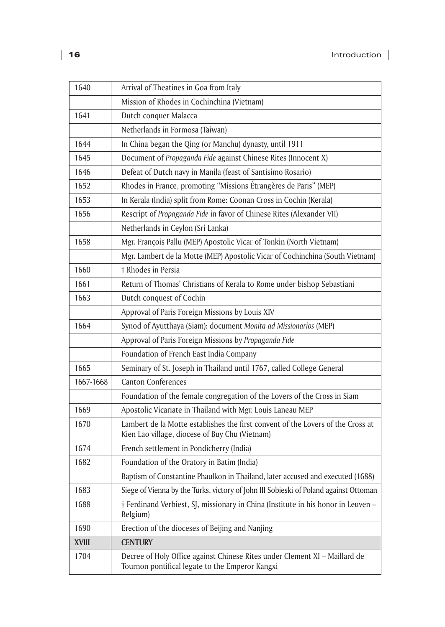| 1640         | Arrival of Theatines in Goa from Italy                                                                                            |
|--------------|-----------------------------------------------------------------------------------------------------------------------------------|
|              | Mission of Rhodes in Cochinchina (Vietnam)                                                                                        |
| 1641         | Dutch conquer Malacca                                                                                                             |
|              | Netherlands in Formosa (Taiwan)                                                                                                   |
| 1644         | In China began the Qing (or Manchu) dynasty, until 1911                                                                           |
| 1645         | Document of Propaganda Fide against Chinese Rites (Innocent X)                                                                    |
| 1646         | Defeat of Dutch navy in Manila (feast of Santisimo Rosario)                                                                       |
| 1652         | Rhodes in France, promoting "Missions Étrangères de Paris" (MEP)                                                                  |
| 1653         | In Kerala (India) split from Rome: Coonan Cross in Cochin (Kerala)                                                                |
| 1656         | Rescript of Propaganda Fide in favor of Chinese Rites (Alexander VII)                                                             |
|              | Netherlands in Ceylon (Sri Lanka)                                                                                                 |
| 1658         | Mgr. François Pallu (MEP) Apostolic Vicar of Tonkin (North Vietnam)                                                               |
|              | Mgr. Lambert de la Motte (MEP) Apostolic Vicar of Cochinchina (South Vietnam)                                                     |
| 1660         | † Rhodes in Persia                                                                                                                |
| 1661         | Return of Thomas' Christians of Kerala to Rome under bishop Sebastiani                                                            |
| 1663         | Dutch conquest of Cochin                                                                                                          |
|              | Approval of Paris Foreign Missions by Louis XIV                                                                                   |
| 1664         | Synod of Ayutthaya (Siam): document Monita ad Missionarios (MEP)                                                                  |
|              | Approval of Paris Foreign Missions by Propaganda Fide                                                                             |
|              | Foundation of French East India Company                                                                                           |
| 1665         | Seminary of St. Joseph in Thailand until 1767, called College General                                                             |
| 1667-1668    | <b>Canton Conferences</b>                                                                                                         |
|              | Foundation of the female congregation of the Lovers of the Cross in Siam                                                          |
| 1669         | Apostolic Vicariate in Thailand with Mgr. Louis Laneau MEP                                                                        |
| 1670         | Lambert de la Motte establishes the first convent of the Lovers of the Cross at<br>Kien Lao village, diocese of Buy Chu (Vietnam) |
| 1674         | French settlement in Pondicherry (India)                                                                                          |
| 1682         | Foundation of the Oratory in Batim (India)                                                                                        |
|              | Baptism of Constantine Phaulkon in Thailand, later accused and executed (1688)                                                    |
| 1683         | Siege of Vienna by the Turks, victory of John III Sobieski of Poland against Ottoman                                              |
| 1688         | † Ferdinand Verbiest, SJ, missionary in China (Institute in his honor in Leuven -<br>Belgium)                                     |
| 1690         | Erection of the dioceses of Beijing and Nanjing                                                                                   |
| <b>XVIII</b> | <b>CENTURY</b>                                                                                                                    |
| 1704         | Decree of Holy Office against Chinese Rites under Clement XI - Maillard de<br>Tournon pontifical legate to the Emperor Kangxi     |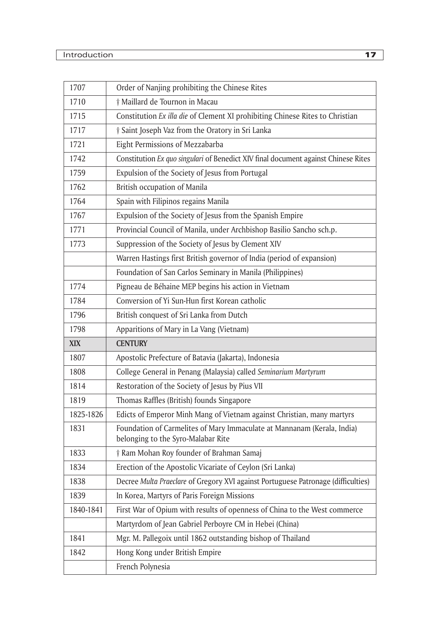| 1707      | Order of Nanjing prohibiting the Chinese Rites                                                                |
|-----------|---------------------------------------------------------------------------------------------------------------|
| 1710      | † Maillard de Tournon in Macau                                                                                |
| 1715      | Constitution Ex illa die of Clement XI prohibiting Chinese Rites to Christian                                 |
| 1717      | † Saint Joseph Vaz from the Oratory in Sri Lanka                                                              |
| 1721      | Eight Permissions of Mezzabarba                                                                               |
| 1742      | Constitution Ex quo singulari of Benedict XIV final document against Chinese Rites                            |
| 1759      | Expulsion of the Society of Jesus from Portugal                                                               |
| 1762      | British occupation of Manila                                                                                  |
| 1764      | Spain with Filipinos regains Manila                                                                           |
| 1767      | Expulsion of the Society of Jesus from the Spanish Empire                                                     |
| 1771      | Provincial Council of Manila, under Archbishop Basilio Sancho sch.p.                                          |
| 1773      | Suppression of the Society of Jesus by Clement XIV                                                            |
|           | Warren Hastings first British governor of India (period of expansion)                                         |
|           | Foundation of San Carlos Seminary in Manila (Philippines)                                                     |
| 1774      | Pigneau de Béhaine MEP begins his action in Vietnam                                                           |
| 1784      | Conversion of Yi Sun-Hun first Korean catholic                                                                |
| 1796      | British conquest of Sri Lanka from Dutch                                                                      |
|           |                                                                                                               |
| 1798      | Apparitions of Mary in La Vang (Vietnam)                                                                      |
| XIX       | <b>CENTURY</b>                                                                                                |
| 1807      | Apostolic Prefecture of Batavia (Jakarta), Indonesia                                                          |
| 1808      | College General in Penang (Malaysia) called Seminarium Martyrum                                               |
| 1814      | Restoration of the Society of Jesus by Pius VII                                                               |
| 1819      | Thomas Raffles (British) founds Singapore                                                                     |
| 1825-1826 | Edicts of Emperor Minh Mang of Vietnam against Christian, many martyrs                                        |
| 1831      | Foundation of Carmelites of Mary Immaculate at Mannanam (Kerala, India)<br>belonging to the Syro-Malabar Rite |
| 1833      | † Ram Mohan Roy founder of Brahman Samaj                                                                      |
| 1834      | Erection of the Apostolic Vicariate of Ceylon (Sri Lanka)                                                     |
| 1838      | Decree Multa Praeclare of Gregory XVI against Portuguese Patronage (difficulties)                             |
| 1839      | In Korea, Martyrs of Paris Foreign Missions                                                                   |
| 1840-1841 | First War of Opium with results of openness of China to the West commerce                                     |
|           | Martyrdom of Jean Gabriel Perboyre CM in Hebei (China)                                                        |
| 1841      | Mgr. M. Pallegoix until 1862 outstanding bishop of Thailand                                                   |
| 1842      | Hong Kong under British Empire                                                                                |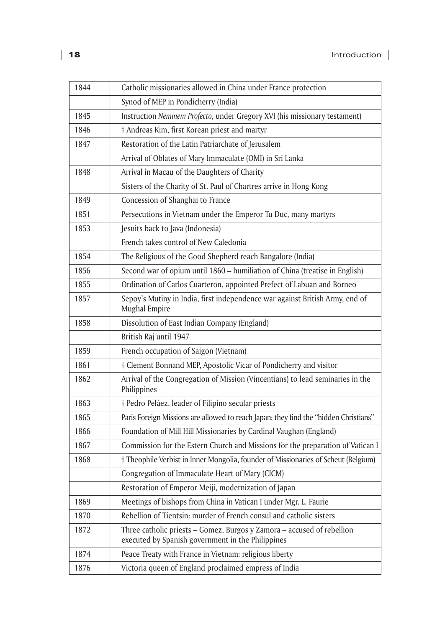| 1844 | Catholic missionaries allowed in China under France protection                                                              |
|------|-----------------------------------------------------------------------------------------------------------------------------|
|      | Synod of MEP in Pondicherry (India)                                                                                         |
| 1845 | Instruction Neminem Profecto, under Gregory XVI (his missionary testament)                                                  |
| 1846 | † Andreas Kim, first Korean priest and martyr                                                                               |
| 1847 | Restoration of the Latin Patriarchate of Jerusalem                                                                          |
|      | Arrival of Oblates of Mary Immaculate (OMI) in Sri Lanka                                                                    |
| 1848 | Arrival in Macau of the Daughters of Charity                                                                                |
|      | Sisters of the Charity of St. Paul of Chartres arrive in Hong Kong                                                          |
| 1849 | Concession of Shanghai to France                                                                                            |
| 1851 | Persecutions in Vietnam under the Emperor Tu Duc, many martyrs                                                              |
| 1853 | Jesuits back to Java (Indonesia)                                                                                            |
|      | French takes control of New Caledonia                                                                                       |
| 1854 | The Religious of the Good Shepherd reach Bangalore (India)                                                                  |
| 1856 | Second war of opium until 1860 – humiliation of China (treatise in English)                                                 |
| 1855 | Ordination of Carlos Cuarteron, appointed Prefect of Labuan and Borneo                                                      |
| 1857 | Sepoy's Mutiny in India, first independence war against British Army, end of<br>Mughal Empire                               |
| 1858 | Dissolution of East Indian Company (England)                                                                                |
|      | British Raj until 1947                                                                                                      |
| 1859 | French occupation of Saigon (Vietnam)                                                                                       |
| 1861 | † Clement Bonnand MEP, Apostolic Vicar of Pondicherry and visitor                                                           |
| 1862 | Arrival of the Congregation of Mission (Vincentians) to lead seminaries in the<br>Philippines                               |
| 1863 | † Pedro Peláez, leader of Filipino secular priests                                                                          |
| 1865 | Paris Foreign Missions are allowed to reach Japan; they find the "hidden Christians"                                        |
| 1866 | Foundation of Mill Hill Missionaries by Cardinal Vaughan (England)                                                          |
| 1867 | Commission for the Estern Church and Missions for the preparation of Vatican I                                              |
| 1868 | † Theophile Verbist in Inner Mongolia, founder of Missionaries of Scheut (Belgium)                                          |
|      | Congregation of Immaculate Heart of Mary (CICM)                                                                             |
|      | Restoration of Emperor Meiji, modernization of Japan                                                                        |
| 1869 | Meetings of bishops from China in Vatican I under Mgr. L. Faurie                                                            |
| 1870 | Rebellion of Tientsin: murder of French consul and catholic sisters                                                         |
| 1872 | Three catholic priests - Gomez, Burgos y Zamora - accused of rebellion<br>executed by Spanish government in the Philippines |
| 1874 | Peace Treaty with France in Vietnam: religious liberty                                                                      |
| 1876 | Victoria queen of England proclaimed empress of India                                                                       |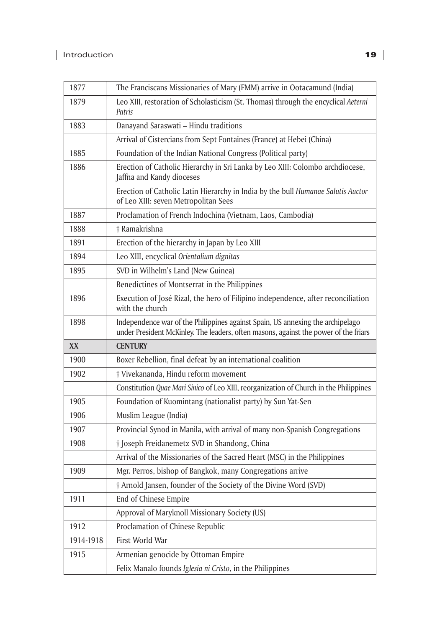| 1877      | The Franciscans Missionaries of Mary (FMM) arrive in Ootacamund (India)                                                                                                |
|-----------|------------------------------------------------------------------------------------------------------------------------------------------------------------------------|
| 1879      | Leo XIII, restoration of Scholasticism (St. Thomas) through the encyclical Aeterni<br>Patris                                                                           |
| 1883      | Danayand Saraswati - Hindu traditions                                                                                                                                  |
|           | Arrival of Cistercians from Sept Fontaines (France) at Hebei (China)                                                                                                   |
| 1885      | Foundation of the Indian National Congress (Political party)                                                                                                           |
| 1886      | Erection of Catholic Hierarchy in Sri Lanka by Leo XIII: Colombo archdiocese,<br>Jaffna and Kandy dioceses                                                             |
|           | Erection of Catholic Latin Hierarchy in India by the bull Humanae Salutis Auctor<br>of Leo XIII: seven Metropolitan Sees                                               |
| 1887      | Proclamation of French Indochina (Vietnam, Laos, Cambodia)                                                                                                             |
| 1888      | † Ramakrishna                                                                                                                                                          |
| 1891      | Erection of the hierarchy in Japan by Leo XIII                                                                                                                         |
| 1894      | Leo XIII, encyclical Orientalium dignitas                                                                                                                              |
| 1895      | SVD in Wilhelm's Land (New Guinea)                                                                                                                                     |
|           | Benedictines of Montserrat in the Philippines                                                                                                                          |
| 1896      | Execution of José Rizal, the hero of Filipino independence, after reconciliation<br>with the church                                                                    |
| 1898      | Independence war of the Philippines against Spain, US annexing the archipelago<br>under President McKinley. The leaders, often masons, against the power of the friars |
| XX        | <b>CENTURY</b>                                                                                                                                                         |
| 1900      | Boxer Rebellion, final defeat by an international coalition                                                                                                            |
| 1902      | † Vivekananda, Hindu reform movement                                                                                                                                   |
|           | Constitution Quae Mari Sinico of Leo XIII, reorganization of Church in the Philippines                                                                                 |
| 1905      | Foundation of Kuomintang (nationalist party) by Sun Yat-Sen                                                                                                            |
| 1906      | Muslim League (India)                                                                                                                                                  |
| 1907      | Provincial Synod in Manila, with arrival of many non-Spanish Congregations                                                                                             |
| 1908      | <i>† Joseph Freidanemetz SVD in Shandong, China</i>                                                                                                                    |
|           | Arrival of the Missionaries of the Sacred Heart (MSC) in the Philippines                                                                                               |
| 1909      | Mgr. Perros, bishop of Bangkok, many Congregations arrive                                                                                                              |
|           | † Arnold Jansen, founder of the Society of the Divine Word (SVD)                                                                                                       |
| 1911      | End of Chinese Empire                                                                                                                                                  |
|           | Approval of Maryknoll Missionary Society (US)                                                                                                                          |
| 1912      | Proclamation of Chinese Republic                                                                                                                                       |
| 1914-1918 |                                                                                                                                                                        |
|           | First World War                                                                                                                                                        |
| 1915      | Armenian genocide by Ottoman Empire                                                                                                                                    |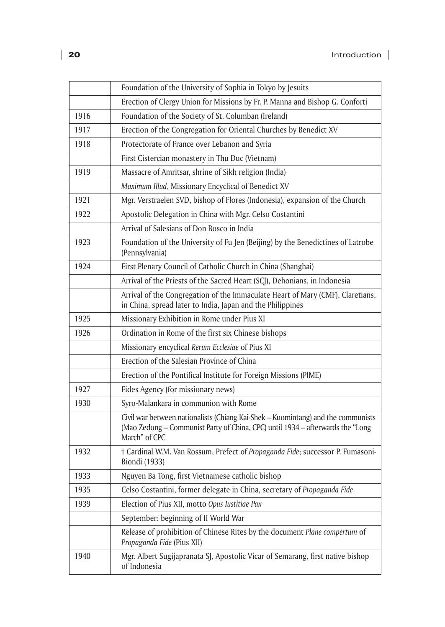|      | Foundation of the University of Sophia in Tokyo by Jesuits                                                                                                                          |
|------|-------------------------------------------------------------------------------------------------------------------------------------------------------------------------------------|
|      | Erection of Clergy Union for Missions by Fr. P. Manna and Bishop G. Conforti                                                                                                        |
| 1916 | Foundation of the Society of St. Columban (Ireland)                                                                                                                                 |
| 1917 | Erection of the Congregation for Oriental Churches by Benedict XV                                                                                                                   |
| 1918 | Protectorate of France over Lebanon and Syria                                                                                                                                       |
|      | First Cistercian monastery in Thu Duc (Vietnam)                                                                                                                                     |
| 1919 | Massacre of Amritsar, shrine of Sikh religion (India)                                                                                                                               |
|      | Maximum Illud, Missionary Encyclical of Benedict XV                                                                                                                                 |
| 1921 | Mgr. Verstraelen SVD, bishop of Flores (Indonesia), expansion of the Church                                                                                                         |
| 1922 | Apostolic Delegation in China with Mgr. Celso Costantini                                                                                                                            |
|      | Arrival of Salesians of Don Bosco in India                                                                                                                                          |
| 1923 | Foundation of the University of Fu Jen (Beijing) by the Benedictines of Latrobe<br>(Pennsylvania)                                                                                   |
| 1924 | First Plenary Council of Catholic Church in China (Shanghai)                                                                                                                        |
|      | Arrival of the Priests of the Sacred Heart (SCJ), Dehonians, in Indonesia                                                                                                           |
|      | Arrival of the Congregation of the Immaculate Heart of Mary (CMF), Claretians,<br>in China, spread later to India, Japan and the Philippines                                        |
| 1925 | Missionary Exhibition in Rome under Pius XI                                                                                                                                         |
| 1926 | Ordination in Rome of the first six Chinese bishops                                                                                                                                 |
|      | Missionary encyclical Rerum Ecclesiae of Pius XI                                                                                                                                    |
|      | Erection of the Salesian Province of China                                                                                                                                          |
|      | Erection of the Pontifical Institute for Foreign Missions (PIME)                                                                                                                    |
| 1927 | Fides Agency (for missionary news)                                                                                                                                                  |
| 1930 | Syro-Malankara in communion with Rome                                                                                                                                               |
|      | Civil war between nationalists (Chiang Kai-Shek - Kuomintang) and the communists<br>(Mao Zedong - Communist Party of China, CPC) until 1934 - afterwards the "Long<br>March" of CPC |
| 1932 | † Cardinal W.M. Van Rossum, Prefect of Propaganda Fide; successor P. Fumasoni-<br><b>Biondi</b> (1933)                                                                              |
| 1933 | Nguyen Ba Tong, first Vietnamese catholic bishop                                                                                                                                    |
| 1935 | Celso Costantini, former delegate in China, secretary of Propaganda Fide                                                                                                            |
| 1939 | Election of Pius XII, motto Opus Iustitiae Pax                                                                                                                                      |
|      | September: beginning of II World War                                                                                                                                                |
|      | Release of prohibition of Chinese Rites by the document Plane compertum of<br>Propaganda Fide (Pius XII)                                                                            |
| 1940 | Mgr. Albert Sugijapranata SJ, Apostolic Vicar of Semarang, first native bishop<br>of Indonesia                                                                                      |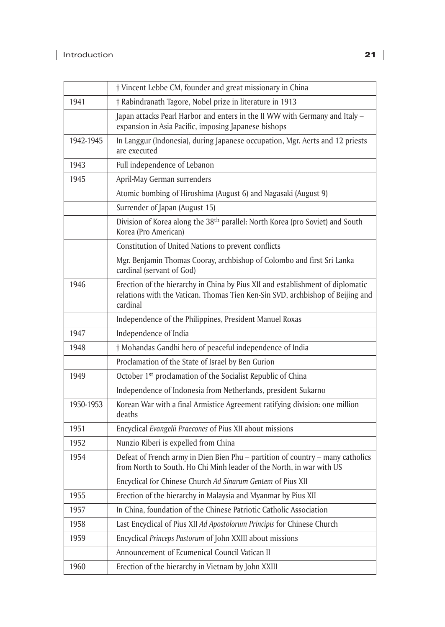|           | <i>† Vincent Lebbe CM, founder and great missionary in China</i>                                                                                                             |
|-----------|------------------------------------------------------------------------------------------------------------------------------------------------------------------------------|
| 1941      | † Rabindranath Tagore, Nobel prize in literature in 1913                                                                                                                     |
|           | Japan attacks Pearl Harbor and enters in the II WW with Germany and Italy -<br>expansion in Asia Pacific, imposing Japanese bishops                                          |
| 1942-1945 | In Langgur (Indonesia), during Japanese occupation, Mgr. Aerts and 12 priests<br>are executed                                                                                |
| 1943      | Full independence of Lebanon                                                                                                                                                 |
| 1945      | April-May German surrenders                                                                                                                                                  |
|           | Atomic bombing of Hiroshima (August 6) and Nagasaki (August 9)                                                                                                               |
|           | Surrender of Japan (August 15)                                                                                                                                               |
|           | Division of Korea along the 38 <sup>th</sup> parallel: North Korea (pro Soviet) and South<br>Korea (Pro American)                                                            |
|           | Constitution of United Nations to prevent conflicts                                                                                                                          |
|           | Mgr. Benjamin Thomas Cooray, archbishop of Colombo and first Sri Lanka<br>cardinal (servant of God)                                                                          |
| 1946      | Erection of the hierarchy in China by Pius XII and establishment of diplomatic<br>relations with the Vatican. Thomas Tien Ken-Sin SVD, archbishop of Beijing and<br>cardinal |
|           | Independence of the Philippines, President Manuel Roxas                                                                                                                      |
| 1947      | Independence of India                                                                                                                                                        |
| 1948      | <i>† Mohandas Gandhi hero of peaceful independence of India</i>                                                                                                              |
|           | Proclamation of the State of Israel by Ben Gurion                                                                                                                            |
| 1949      | October 1 <sup>st</sup> proclamation of the Socialist Republic of China                                                                                                      |
|           | Independence of Indonesia from Netherlands, president Sukarno                                                                                                                |
| 1950-1953 | Korean War with a final Armistice Agreement ratifying division: one million<br>deaths                                                                                        |
| 1951      | Encyclical Evangelii Praecones of Pius XII about missions                                                                                                                    |
| 1952      | Nunzio Riberi is expelled from China                                                                                                                                         |
| 1954      | Defeat of French army in Dien Bien Phu - partition of country - many catholics<br>from North to South. Ho Chi Minh leader of the North, in war with US                       |
|           | Encyclical for Chinese Church Ad Sinarum Gentem of Pius XII                                                                                                                  |
| 1955      | Erection of the hierarchy in Malaysia and Myanmar by Pius XII                                                                                                                |
| 1957      | In China, foundation of the Chinese Patriotic Catholic Association                                                                                                           |
| 1958      | Last Encyclical of Pius XII Ad Apostolorum Principis for Chinese Church                                                                                                      |
| 1959      | Encyclical Princeps Pastorum of John XXIII about missions                                                                                                                    |
|           | Announcement of Ecumenical Council Vatican II                                                                                                                                |
| 1960      | Erection of the hierarchy in Vietnam by John XXIII                                                                                                                           |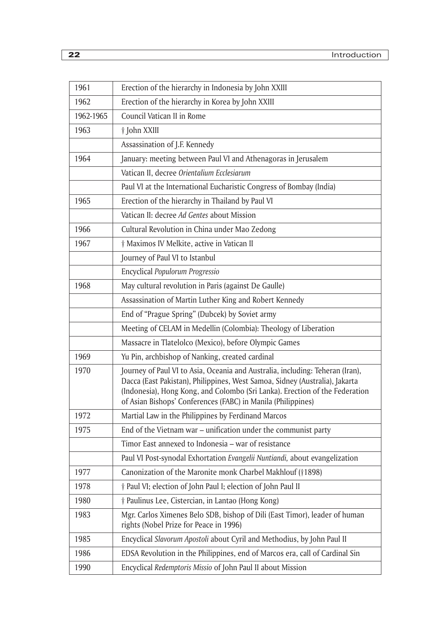| 1961      | Erection of the hierarchy in Indonesia by John XXIII                                                                                                                                                                                                                                                        |
|-----------|-------------------------------------------------------------------------------------------------------------------------------------------------------------------------------------------------------------------------------------------------------------------------------------------------------------|
| 1962      | Erection of the hierarchy in Korea by John XXIII                                                                                                                                                                                                                                                            |
| 1962-1965 | Council Vatican II in Rome                                                                                                                                                                                                                                                                                  |
| 1963      | † John XXIII                                                                                                                                                                                                                                                                                                |
|           | Assassination of J.F. Kennedy                                                                                                                                                                                                                                                                               |
| 1964      | January: meeting between Paul VI and Athenagoras in Jerusalem                                                                                                                                                                                                                                               |
|           | Vatican II, decree Orientalium Ecclesiarum                                                                                                                                                                                                                                                                  |
|           | Paul VI at the International Eucharistic Congress of Bombay (India)                                                                                                                                                                                                                                         |
| 1965      | Erection of the hierarchy in Thailand by Paul VI                                                                                                                                                                                                                                                            |
|           | Vatican II: decree Ad Gentes about Mission                                                                                                                                                                                                                                                                  |
| 1966      | Cultural Revolution in China under Mao Zedong                                                                                                                                                                                                                                                               |
| 1967      | † Maximos IV Melkite, active in Vatican II                                                                                                                                                                                                                                                                  |
|           | Journey of Paul VI to Istanbul                                                                                                                                                                                                                                                                              |
|           | Encyclical Populorum Progressio                                                                                                                                                                                                                                                                             |
| 1968      | May cultural revolution in Paris (against De Gaulle)                                                                                                                                                                                                                                                        |
|           | Assassination of Martin Luther King and Robert Kennedy                                                                                                                                                                                                                                                      |
|           | End of "Prague Spring" (Dubcek) by Soviet army                                                                                                                                                                                                                                                              |
|           | Meeting of CELAM in Medellin (Colombia): Theology of Liberation                                                                                                                                                                                                                                             |
|           | Massacre in Tlatelolco (Mexico), before Olympic Games                                                                                                                                                                                                                                                       |
| 1969      | Yu Pin, archbishop of Nanking, created cardinal                                                                                                                                                                                                                                                             |
| 1970      | Journey of Paul VI to Asia, Oceania and Australia, including: Teheran (Iran),<br>Dacca (East Pakistan), Philippines, West Samoa, Sidney (Australia), Jakarta<br>(Indonesia), Hong Kong, and Colombo (Sri Lanka). Erection of the Federation<br>of Asian Bishops' Conferences (FABC) in Manila (Philippines) |
| 1972      | Martial Law in the Philippines by Ferdinand Marcos                                                                                                                                                                                                                                                          |
| 1975      | End of the Vietnam war - unification under the communist party                                                                                                                                                                                                                                              |
|           | Timor East annexed to Indonesia – war of resistance                                                                                                                                                                                                                                                         |
|           | Paul VI Post-synodal Exhortation Evangelii Nuntiandi, about evangelization                                                                                                                                                                                                                                  |
| 1977      | Canonization of the Maronite monk Charbel Makhlouf (†1898)                                                                                                                                                                                                                                                  |
| 1978      | † Paul VI; election of John Paul I; election of John Paul II                                                                                                                                                                                                                                                |
| 1980      | † Paulinus Lee, Cistercian, in Lantao (Hong Kong)                                                                                                                                                                                                                                                           |
| 1983      | Mgr. Carlos Ximenes Belo SDB, bishop of Dili (East Timor), leader of human<br>rights (Nobel Prize for Peace in 1996)                                                                                                                                                                                        |
| 1985      | Encyclical Slavorum Apostoli about Cyril and Methodius, by John Paul II                                                                                                                                                                                                                                     |
| 1986      | EDSA Revolution in the Philippines, end of Marcos era, call of Cardinal Sin                                                                                                                                                                                                                                 |
| 1990      | Encyclical Redemptoris Missio of John Paul II about Mission                                                                                                                                                                                                                                                 |